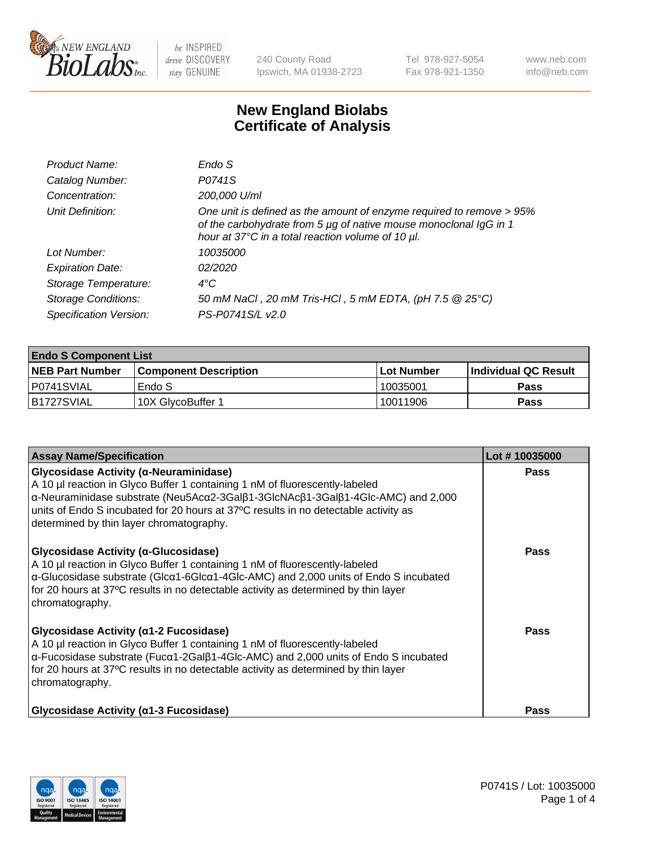

240 County Road Ipswich, MA 01938-2723 Tel 978-927-5054 Fax 978-921-1350 www.neb.com info@neb.com

## **New England Biolabs Certificate of Analysis**

| Endo S                                                                                                                                                                                         |
|------------------------------------------------------------------------------------------------------------------------------------------------------------------------------------------------|
| P0741S                                                                                                                                                                                         |
| 200,000 U/ml                                                                                                                                                                                   |
| One unit is defined as the amount of enzyme required to remove > 95%<br>of the carbohydrate from 5 µg of native mouse monoclonal IgG in 1<br>hour at 37°C in a total reaction volume of 10 µl. |
| <i>10035000</i>                                                                                                                                                                                |
| 02/2020                                                                                                                                                                                        |
| $4^{\circ}$ C                                                                                                                                                                                  |
| 50 mM NaCl, 20 mM Tris-HCl, 5 mM EDTA, (pH 7.5 @ 25°C)                                                                                                                                         |
| PS-P0741S/L v2.0                                                                                                                                                                               |
|                                                                                                                                                                                                |

| <b>Endo S Component List</b> |                              |            |                             |  |  |
|------------------------------|------------------------------|------------|-----------------------------|--|--|
| <b>NEB Part Number</b>       | <b>Component Description</b> | Lot Number | <b>Individual QC Result</b> |  |  |
| I P0741SVIAL                 | Endo S                       | 10035001   | Pass                        |  |  |
| IB1727SVIAL                  | 10X GlycoBuffer 1            | 10011906   | Pass                        |  |  |

| <b>Assay Name/Specification</b>                                                                                                                                                                                                                                                                                                                        | Lot #10035000 |
|--------------------------------------------------------------------------------------------------------------------------------------------------------------------------------------------------------------------------------------------------------------------------------------------------------------------------------------------------------|---------------|
| Glycosidase Activity (α-Neuraminidase)<br>A 10 µl reaction in Glyco Buffer 1 containing 1 nM of fluorescently-labeled<br>α-Neuraminidase substrate (Neu5Acα2-3Galβ1-3GlcNAcβ1-3Galβ1-4Glc-AMC) and 2,000<br>units of Endo S incubated for 20 hours at 37°C results in no detectable activity as<br>determined by thin layer chromatography.            | <b>Pass</b>   |
| Glycosidase Activity (α-Glucosidase)<br>A 10 µl reaction in Glyco Buffer 1 containing 1 nM of fluorescently-labeled<br>$\alpha$ -Glucosidase substrate (Glc $\alpha$ 1-6Glc $\alpha$ 1-4Glc-AMC) and 2,000 units of Endo S incubated<br>for 20 hours at 37°C results in no detectable activity as determined by thin layer<br>chromatography.          | Pass          |
| Glycosidase Activity ( $\alpha$ 1-2 Fucosidase)<br>A 10 µl reaction in Glyco Buffer 1 containing 1 nM of fluorescently-labeled<br>$\alpha$ -Fucosidase substrate (Fuc $\alpha$ 1-2Gal $\beta$ 1-4Glc-AMC) and 2,000 units of Endo S incubated<br>for 20 hours at 37°C results in no detectable activity as determined by thin layer<br>chromatography. | <b>Pass</b>   |
| Glycosidase Activity ( $\alpha$ 1-3 Fucosidase)                                                                                                                                                                                                                                                                                                        | <b>Pass</b>   |

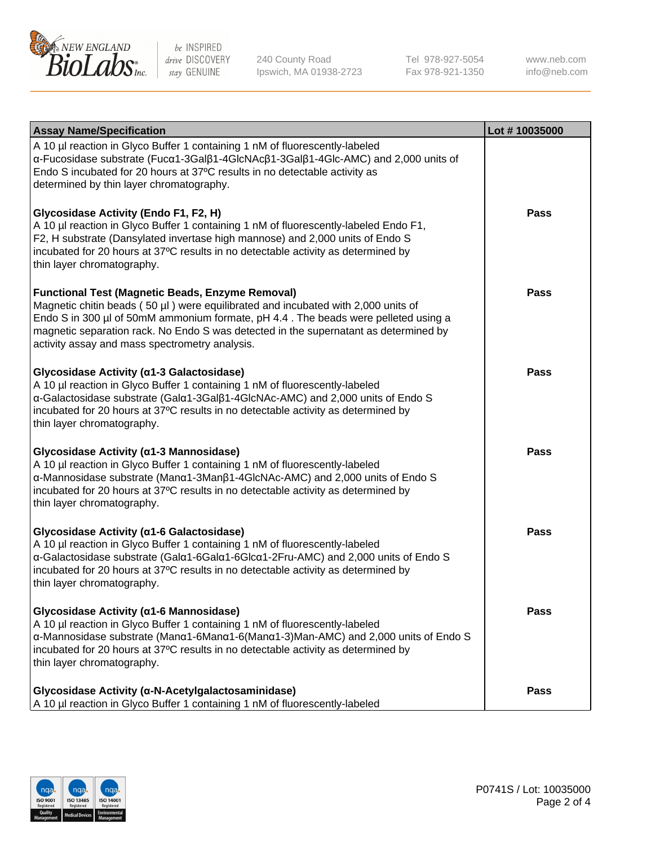

240 County Road Ipswich, MA 01938-2723 Tel 978-927-5054 Fax 978-921-1350 www.neb.com info@neb.com

| <b>Assay Name/Specification</b>                                                                                                                                                                                                                                                                                                                                              | Lot #10035000 |
|------------------------------------------------------------------------------------------------------------------------------------------------------------------------------------------------------------------------------------------------------------------------------------------------------------------------------------------------------------------------------|---------------|
| A 10 µl reaction in Glyco Buffer 1 containing 1 nM of fluorescently-labeled<br>α-Fucosidase substrate (Fucα1-3Galβ1-4GlcNAcβ1-3Galβ1-4Glc-AMC) and 2,000 units of<br>Endo S incubated for 20 hours at 37°C results in no detectable activity as<br>determined by thin layer chromatography.                                                                                  |               |
| Glycosidase Activity (Endo F1, F2, H)<br>A 10 µl reaction in Glyco Buffer 1 containing 1 nM of fluorescently-labeled Endo F1,<br>F2, H substrate (Dansylated invertase high mannose) and 2,000 units of Endo S<br>incubated for 20 hours at 37°C results in no detectable activity as determined by<br>thin layer chromatography.                                            | <b>Pass</b>   |
| <b>Functional Test (Magnetic Beads, Enzyme Removal)</b><br>Magnetic chitin beads (50 µl) were equilibrated and incubated with 2,000 units of<br>Endo S in 300 µl of 50mM ammonium formate, pH 4.4. The beads were pelleted using a<br>magnetic separation rack. No Endo S was detected in the supernatant as determined by<br>activity assay and mass spectrometry analysis. | <b>Pass</b>   |
| Glycosidase Activity (α1-3 Galactosidase)<br>A 10 µl reaction in Glyco Buffer 1 containing 1 nM of fluorescently-labeled<br>α-Galactosidase substrate (Galα1-3Galβ1-4GlcNAc-AMC) and 2,000 units of Endo S<br>incubated for 20 hours at 37°C results in no detectable activity as determined by<br>thin layer chromatography.                                                | Pass          |
| Glycosidase Activity (α1-3 Mannosidase)<br>A 10 µl reaction in Glyco Buffer 1 containing 1 nM of fluorescently-labeled<br>α-Mannosidase substrate (Manα1-3Manβ1-4GlcNAc-AMC) and 2,000 units of Endo S<br>incubated for 20 hours at 37°C results in no detectable activity as determined by<br>thin layer chromatography.                                                    | <b>Pass</b>   |
| Glycosidase Activity (α1-6 Galactosidase)<br>A 10 µl reaction in Glyco Buffer 1 containing 1 nM of fluorescently-labeled<br>α-Galactosidase substrate (Galα1-6Galα1-6Glcα1-2Fru-AMC) and 2,000 units of Endo S<br>incubated for 20 hours at 37°C results in no detectable activity as determined by<br>thin layer chromatography.                                            | <b>Pass</b>   |
| Glycosidase Activity (α1-6 Mannosidase)<br>A 10 µl reaction in Glyco Buffer 1 containing 1 nM of fluorescently-labeled<br>α-Mannosidase substrate (Μanα1-6Μanα1-6(Μanα1-3)Man-AMC) and 2,000 units of Endo S<br>incubated for 20 hours at 37°C results in no detectable activity as determined by<br>thin layer chromatography.                                              | <b>Pass</b>   |
| Glycosidase Activity (α-N-Acetylgalactosaminidase)<br>A 10 µl reaction in Glyco Buffer 1 containing 1 nM of fluorescently-labeled                                                                                                                                                                                                                                            | <b>Pass</b>   |

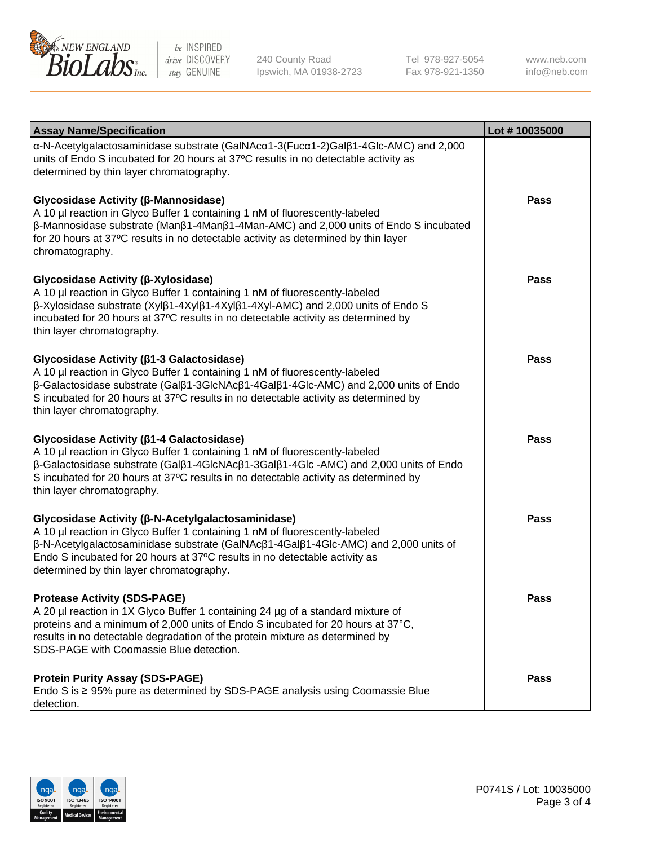

240 County Road Ipswich, MA 01938-2723 Tel 978-927-5054 Fax 978-921-1350

www.neb.com info@neb.com

| <b>Assay Name/Specification</b>                                                                                                                                                                                                                                                                                                                                | Lot #10035000 |
|----------------------------------------------------------------------------------------------------------------------------------------------------------------------------------------------------------------------------------------------------------------------------------------------------------------------------------------------------------------|---------------|
| $\alpha$ -N-Acetylgalactosaminidase substrate (GalNAc $\alpha$ 1-3(Fuc $\alpha$ 1-2)Gal $\beta$ 1-4Glc-AMC) and 2,000<br>units of Endo S incubated for 20 hours at 37°C results in no detectable activity as<br>determined by thin layer chromatography.                                                                                                       |               |
| <b>Glycosidase Activity (β-Mannosidase)</b><br>A 10 µl reaction in Glyco Buffer 1 containing 1 nM of fluorescently-labeled<br>$\beta$ -Mannosidase substrate (Man $\beta$ 1-4Man $\beta$ 1-4Man-AMC) and 2,000 units of Endo S incubated<br>for 20 hours at 37°C results in no detectable activity as determined by thin layer<br>chromatography.              | Pass          |
| <b>Glycosidase Activity (β-Xylosidase)</b><br>A 10 µl reaction in Glyco Buffer 1 containing 1 nM of fluorescently-labeled<br>$\beta$ -Xylosidase substrate (Xyl $\beta$ 1-4Xyl $\beta$ 1-4Xyl $\beta$ 1-4Xyl-AMC) and 2,000 units of Endo S<br>incubated for 20 hours at 37°C results in no detectable activity as determined by<br>thin layer chromatography. | Pass          |
| Glycosidase Activity ( $\beta$ 1-3 Galactosidase)<br>A 10 µl reaction in Glyco Buffer 1 containing 1 nM of fluorescently-labeled<br>β-Galactosidase substrate (Galβ1-3GlcNAcβ1-4Galβ1-4Glc-AMC) and 2,000 units of Endo<br>S incubated for 20 hours at 37°C results in no detectable activity as determined by<br>thin layer chromatography.                   | <b>Pass</b>   |
| <b>Glycosidase Activity (β1-4 Galactosidase)</b><br>A 10 µl reaction in Glyco Buffer 1 containing 1 nM of fluorescently-labeled<br>β-Galactosidase substrate (Galβ1-4GlcNAcβ1-3Galβ1-4Glc -AMC) and 2,000 units of Endo<br>S incubated for 20 hours at 37°C results in no detectable activity as determined by<br>thin layer chromatography.                   | <b>Pass</b>   |
| <b>Glycosidase Activity (β-N-Acetylgalactosaminidase)</b><br>A 10 µl reaction in Glyco Buffer 1 containing 1 nM of fluorescently-labeled<br>β-N-Acetylgalactosaminidase substrate (GalNAcβ1-4Galβ1-4Glc-AMC) and 2,000 units of<br>Endo S incubated for 20 hours at 37°C results in no detectable activity as<br>determined by thin layer chromatography.      | <b>Pass</b>   |
| <b>Protease Activity (SDS-PAGE)</b><br>A 20 µl reaction in 1X Glyco Buffer 1 containing 24 µg of a standard mixture of<br>proteins and a minimum of 2,000 units of Endo S incubated for 20 hours at 37°C,<br>results in no detectable degradation of the protein mixture as determined by<br>SDS-PAGE with Coomassie Blue detection.                           | <b>Pass</b>   |
| <b>Protein Purity Assay (SDS-PAGE)</b><br>Endo S is ≥ 95% pure as determined by SDS-PAGE analysis using Coomassie Blue<br>detection.                                                                                                                                                                                                                           | Pass          |